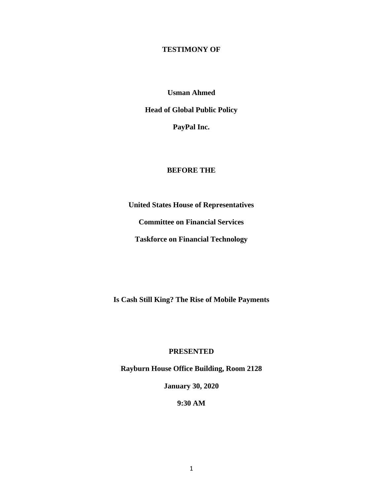## **TESTIMONY OF**

**Usman Ahmed**

**Head of Global Public Policy**

**PayPal Inc.**

#### **BEFORE THE**

**United States House of Representatives**

**Committee on Financial Services**

**Taskforce on Financial Technology**

**Is Cash Still King? The Rise of Mobile Payments**

### **PRESENTED**

**Rayburn House Office Building, Room 2128**

**January 30, 2020**

**9:30 AM**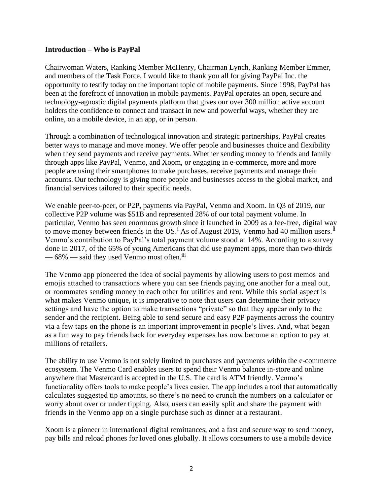#### **Introduction – Who is PayPal**

Chairwoman Waters, Ranking Member McHenry, Chairman Lynch, Ranking Member Emmer, and members of the Task Force, I would like to thank you all for giving PayPal Inc. the opportunity to testify today on the important topic of mobile payments. Since 1998, PayPal has been at the forefront of innovation in mobile payments. PayPal operates an open, secure and technology-agnostic digital payments platform that gives our over 300 million active account holders the confidence to connect and transact in new and powerful ways, whether they are online, on a mobile device, in an app, or in person.

Through a combination of technological innovation and strategic partnerships, PayPal creates better ways to manage and move money. We offer people and businesses choice and flexibility when they send payments and receive payments. Whether sending money to friends and family through apps like PayPal, Venmo, and Xoom, or engaging in e-commerce, more and more people are using their smartphones to make purchases, receive payments and manage their accounts. Our technology is giving more people and businesses access to the global market, and financial services tailored to their specific needs.

We enable peer-to-peer, or P2P, payments via PayPal, Venmo and Xoom. In Q3 of 2019, our collective P2P volume was \$51B and represented 28% of our total payment volume. In particular, Venmo has seen enormous growth since it launched in 2009 as a fee-free, digital way to move money between friends in the US.<sup>i</sup> As of August 2019, Venmo had 40 million users.<sup>ii</sup> Venmo's contribution to PayPal's total payment volume stood at 14%. According to a survey done in 2017, of the 65% of young Americans that did use payment apps, more than two-thirds — 68% — said they used Venmo most often.<sup>iii</sup>

The Venmo app pioneered the idea of social payments by allowing users to post memos and emojis attached to transactions where you can see friends paying one another for a meal out, or roommates sending money to each other for utilities and rent. While this social aspect is what makes Venmo unique, it is imperative to note that users can determine their privacy settings and have the option to make transactions "private" so that they appear only to the sender and the recipient. Being able to send secure and easy P2P payments across the country via a few taps on the phone is an important improvement in people's lives. And, what began as a fun way to pay friends back for everyday expenses has now become an option to pay at millions of retailers.

The ability to use Venmo is not solely limited to purchases and payments within the e-commerce ecosystem. The Venmo Card enables users to spend their Venmo balance in-store and online anywhere that Mastercard is accepted in the U.S. The card is ATM friendly. Venmo's functionality offers tools to make people's lives easier. The app includes a tool that automatically calculates suggested tip amounts, so there's no need to crunch the numbers on a calculator or worry about over or under tipping. Also, users can easily split and share the payment with friends in the Venmo app on a single purchase such as dinner at a restaurant.

Xoom is a pioneer in international digital remittances, and a fast and secure way to send money, pay bills and reload phones for loved ones globally. It allows consumers to use a mobile device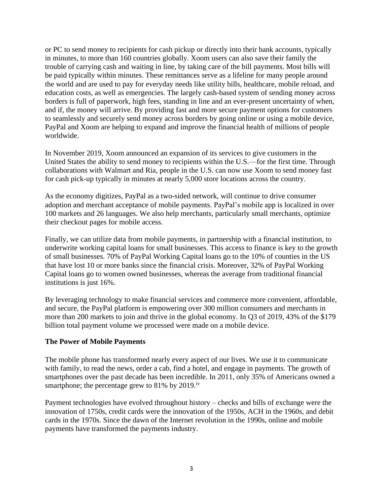or PC to send money to recipients for cash pickup or directly into their bank accounts, typically in minutes, to more than 160 countries globally. Xoom users can also save their family the trouble of carrying cash and waiting in line, by taking care of the bill payments. Most bills will be paid typically within minutes. These remittances serve as a lifeline for many people around the world and are used to pay for everyday needs like utility bills, healthcare, mobile reload, and education costs, as well as emergencies. The largely cash-based system of sending money across borders is full of paperwork, high fees, standing in line and an ever-present uncertainty of when, and if, the money will arrive. By providing fast and more secure payment options for customers to seamlessly and securely send money across borders by going online or using a mobile device, PayPal and Xoom are helping to expand and improve the financial health of millions of people worldwide.

In November 2019, Xoom announced an expansion of its services to give customers in the United States the ability to send money to recipients within the U.S.—for the first time. Through collaborations with Walmart and Ria, people in the U.S. can now use Xoom to send money fast for cash pick-up typically in minutes at nearly 5,000 store locations across the country.

As the economy digitizes, PayPal as a two-sided network, will continue to drive consumer adoption and merchant acceptance of mobile payments. PayPal's mobile app is localized in over 100 markets and 26 languages. We also help merchants, particularly small merchants, optimize their checkout pages for mobile access.

Finally, we can utilize data from mobile payments, in partnership with a financial institution, to underwrite working capital loans for small businesses. This access to finance is key to the growth of small businesses. 70% of PayPal Working Capital loans go to the 10% of counties in the US that have lost 10 or more banks since the financial crisis. Moreover, 32% of PayPal Working Capital loans go to women owned businesses, whereas the average from traditional financial institutions is just 16%.

By leveraging technology to make financial services and commerce more convenient, affordable, and secure, the PayPal platform is empowering over 300 million consumers and merchants in more than 200 markets to join and thrive in the global economy. In Q3 of 2019, 43% of the \$179 billion total payment volume we processed were made on a mobile device.

# **The Power of Mobile Payments**

The mobile phone has transformed nearly every aspect of our lives. We use it to communicate with family, to read the news, order a cab, find a hotel, and engage in payments. The growth of smartphones over the past decade has been incredible. In 2011, only 35% of Americans owned a smartphone; the percentage grew to  $81\%$  by  $2019$ .<sup>iv</sup>

Payment technologies have evolved throughout history – checks and bills of exchange were the innovation of 1750s, credit cards were the innovation of the 1950s, ACH in the 1960s, and debit cards in the 1970s. Since the dawn of the Internet revolution in the 1990s, online and mobile payments have transformed the payments industry.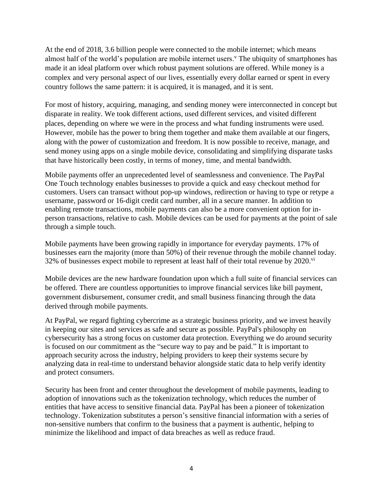At the end of 2018, 3.6 billion people were connected to the mobile internet; which means almost half of the world's population are mobile internet users.<sup>v</sup> The ubiquity of smartphones has made it an ideal platform over which robust payment solutions are offered. While money is a complex and very personal aspect of our lives, essentially every dollar earned or spent in every country follows the same pattern: it is acquired, it is managed, and it is sent.

For most of history, acquiring, managing, and sending money were interconnected in concept but disparate in reality. We took different actions, used different services, and visited different places, depending on where we were in the process and what funding instruments were used. However, mobile has the power to bring them together and make them available at our fingers, along with the power of customization and freedom. It is now possible to receive, manage, and send money using apps on a single mobile device, consolidating and simplifying disparate tasks that have historically been costly, in terms of money, time, and mental bandwidth.

Mobile payments offer an unprecedented level of seamlessness and convenience. The PayPal One Touch technology enables businesses to provide a quick and easy checkout method for customers. Users can transact without pop-up windows, redirection or having to type or retype a username, password or 16-digit credit card number, all in a secure manner. In addition to enabling remote transactions, mobile payments can also be a more convenient option for inperson transactions, relative to cash. Mobile devices can be used for payments at the point of sale through a simple touch.

Mobile payments have been growing rapidly in importance for everyday payments. 17% of businesses earn the majority (more than 50%) of their revenue through the mobile channel today. 32% of businesses expect mobile to represent at least half of their total revenue by 2020. $\overline{v}$ 

Mobile devices are the new hardware foundation upon which a full suite of financial services can be offered. There are countless opportunities to improve financial services like bill payment, government disbursement, consumer credit, and small business financing through the data derived through mobile payments.

At PayPal, we regard fighting cybercrime as a strategic business priority, and we invest heavily in keeping our sites and services as safe and secure as possible. PayPal's philosophy on cybersecurity has a strong focus on customer data protection. Everything we do around security is focused on our commitment as the "secure way to pay and be paid." It is important to approach security across the industry, helping providers to keep their systems secure by analyzing data in real-time to understand behavior alongside static data to help verify identity and protect consumers.

Security has been front and center throughout the development of mobile payments, leading to adoption of innovations such as the tokenization technology, which reduces the number of entities that have access to sensitive financial data. PayPal has been a pioneer of tokenization technology. Tokenization substitutes a person's sensitive financial information with a series of non-sensitive numbers that confirm to the business that a payment is authentic, helping to minimize the likelihood and impact of data breaches as well as reduce fraud.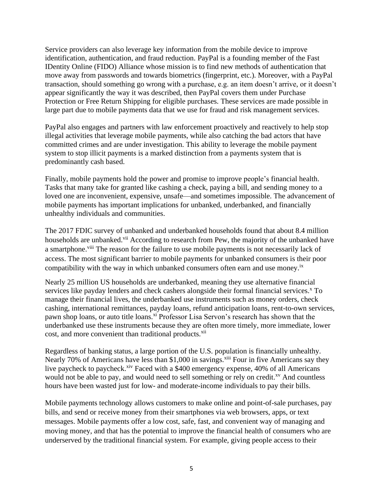Service providers can also leverage key information from the mobile device to improve identification, authentication, and fraud reduction. PayPal is a founding member of the Fast IDentity Online (FIDO) Alliance whose mission is to find new methods of authentication that move away from passwords and towards biometrics (fingerprint, etc.). Moreover, with a PayPal transaction, should something go wrong with a purchase, e.g. an item doesn't arrive, or it doesn't appear significantly the way it was described, then PayPal covers them under Purchase Protection or Free Return Shipping for eligible purchases. These services are made possible in large part due to mobile payments data that we use for fraud and risk management services.

PayPal also engages and partners with law enforcement proactively and reactively to help stop illegal activities that leverage mobile payments, while also catching the bad actors that have committed crimes and are under investigation. This ability to leverage the mobile payment system to stop illicit payments is a marked distinction from a payments system that is predominantly cash based.

Finally, mobile payments hold the power and promise to improve people's financial health. Tasks that many take for granted like cashing a check, paying a bill, and sending money to a loved one are inconvenient, expensive, unsafe—and sometimes impossible. The advancement of mobile payments has important implications for unbanked, underbanked, and financially unhealthy individuals and communities.

The 2017 FDIC survey of unbanked and underbanked households found that about 8.4 million households are unbanked.<sup>vii</sup> According to research from Pew, the majority of the unbanked have a smartphone.<sup>viii</sup> The reason for the failure to use mobile payments is not necessarily lack of access. The most significant barrier to mobile payments for unbanked consumers is their poor compatibility with the way in which unbanked consumers often earn and use money.<sup>ix</sup>

Nearly 25 million US households are underbanked, meaning they use alternative financial services like payday lenders and check cashers alongside their formal financial services. $^x$  To manage their financial lives, the underbanked use instruments such as money orders, check cashing, international remittances, payday loans, refund anticipation loans, rent-to-own services, pawn shop loans, or auto title loans.<sup>xi</sup> Professor Lisa Servon's research has shown that the underbanked use these instruments because they are often more timely, more immediate, lower cost, and more convenient than traditional products.<sup>xii</sup>

Regardless of banking status, a large portion of the U.S. population is financially unhealthy. Nearly 70% of Americans have less than \$1,000 in savings.<sup>xiii</sup> Four in five Americans say they live paycheck to paycheck.<sup>xiv</sup> Faced with a \$400 emergency expense, 40% of all Americans would not be able to pay, and would need to sell something or rely on credit.<sup>xv</sup> And countless hours have been wasted just for low- and moderate-income individuals to pay their bills.

Mobile payments technology allows customers to make online and point-of-sale purchases, pay bills, and send or receive money from their smartphones via web browsers, apps, or text messages. Mobile payments offer a low cost, safe, fast, and convenient way of managing and moving money, and that has the potential to improve the financial health of consumers who are underserved by the traditional financial system. For example, giving people access to their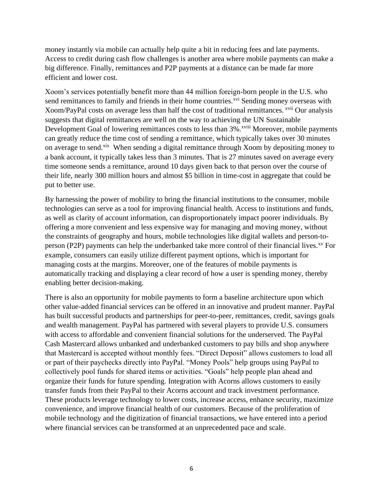money instantly via mobile can actually help quite a bit in reducing fees and late payments. Access to credit during cash flow challenges is another area where mobile payments can make a big difference. Finally, remittances and P2P payments at a distance can be made far more efficient and lower cost.

Xoom's services potentially benefit more than 44 million foreign-born people in the U.S. who send remittances to family and friends in their home countries.<sup>xvi</sup> Sending money overseas with Xoom/PayPal costs on average less than half the cost of traditional remittances. <sup>xvii</sup> Our analysis suggests that digital remittances are well on the way to achieving the UN Sustainable Development Goal of lowering remittances costs to less than 3%.<sup>xviii</sup> Moreover, mobile payments can greatly reduce the time cost of sending a remittance, which typically takes over 30 minutes on average to send.<sup>xix</sup> When sending a digital remittance through Xoom by depositing money to a bank account, it typically takes less than 3 minutes. That is 27 minutes saved on average every time someone sends a remittance, around 10 days given back to that person over the course of their life, nearly 300 million hours and almost \$5 billion in time-cost in aggregate that could be put to better use.

By harnessing the power of mobility to bring the financial institutions to the consumer, mobile technologies can serve as a tool for improving financial health. Access to institutions and funds, as well as clarity of account information, can disproportionately impact poorer individuals. By offering a more convenient and less expensive way for managing and moving money, without the constraints of geography and hours, mobile technologies like digital wallets and person-toperson (P2P) payments can help the underbanked take more control of their financial lives.<sup>xx</sup> For example, consumers can easily utilize different payment options, which is important for managing costs at the margins. Moreover, one of the features of mobile payments is automatically tracking and displaying a clear record of how a user is spending money, thereby enabling better decision-making.

There is also an opportunity for mobile payments to form a baseline architecture upon which other value-added financial services can be offered in an innovative and prudent manner. PayPal has built successful products and partnerships for peer-to-peer, remittances, credit, savings goals and wealth management. PayPal has partnered with several players to provide U.S. consumers with access to affordable and convenient financial solutions for the underserved. The PayPal Cash Mastercard allows unbanked and underbanked customers to pay bills and shop anywhere that Mastercard is accepted without monthly fees. "Direct Deposit" allows customers to load all or part of their paychecks directly into PayPal. "Money Pools" help groups using PayPal to collectively pool funds for shared items or activities. "Goals" help people plan ahead and organize their funds for future spending. Integration with Acorns allows customers to easily transfer funds from their PayPal to their Acorns account and track investment performance. These products leverage technology to lower costs, increase access, enhance security, maximize convenience, and improve financial health of our customers. Because of the proliferation of mobile technology and the digitization of financial transactions, we have entered into a period where financial services can be transformed at an unprecedented pace and scale.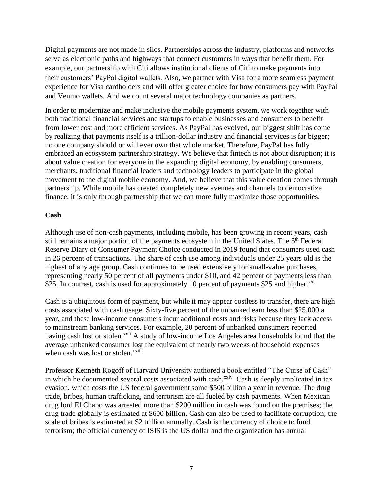Digital payments are not made in silos. Partnerships across the industry, platforms and networks serve as electronic paths and highways that connect customers in ways that benefit them. For example, our partnership with Citi allows institutional clients of Citi to make payments into their customers' PayPal digital wallets. Also, we partner with Visa for a more seamless payment experience for Visa cardholders and will offer greater choice for how consumers pay with PayPal and Venmo wallets. And we count several major technology companies as partners.

In order to modernize and make inclusive the mobile payments system, we work together with both traditional financial services and startups to enable businesses and consumers to benefit from lower cost and more efficient services. As PayPal has evolved, our biggest shift has come by realizing that payments itself is a trillion-dollar industry and financial services is far bigger; no one company should or will ever own that whole market. Therefore, PayPal has fully embraced an ecosystem partnership strategy. We believe that fintech is not about disruption; it is about value creation for everyone in the expanding digital economy, by enabling consumers, merchants, traditional financial leaders and technology leaders to participate in the global movement to the digital mobile economy. And, we believe that this value creation comes through partnership. While mobile has created completely new avenues and channels to democratize finance, it is only through partnership that we can more fully maximize those opportunities.

# **Cash**

Although use of non-cash payments, including mobile, has been growing in recent years, cash still remains a major portion of the payments ecosystem in the United States. The 5<sup>th</sup> Federal Reserve Diary of Consumer Payment Choice conducted in 2019 found that consumers used cash in 26 percent of transactions. The share of cash use among individuals under 25 years old is the highest of any age group. Cash continues to be used extensively for small-value purchases, representing nearly 50 percent of all payments under \$10, and 42 percent of payments less than \$25. In contrast, cash is used for approximately 10 percent of payments \$25 and higher. $^{xxi}$ 

Cash is a ubiquitous form of payment, but while it may appear costless to transfer, there are high costs associated with cash usage. Sixty-five percent of the unbanked earn less than \$25,000 a year, and these low-income consumers incur additional costs and risks because they lack access to mainstream banking services. For example, 20 percent of unbanked consumers reported having cash lost or stolen.<sup>xxii</sup> A study of low-income Los Angeles area households found that the average unbanked consumer lost the equivalent of nearly two weeks of household expenses when cash was lost or stolen.<sup>xxiii</sup>

Professor Kenneth Rogoff of Harvard University authored a book entitled "The Curse of Cash" in which he documented several costs associated with cash.<sup>xxiv</sup> Cash is deeply implicated in tax evasion, which costs the US federal government some \$500 billion a year in revenue. The drug trade, bribes, human trafficking, and terrorism are all fueled by cash payments. When Mexican drug lord El Chapo was arrested more than \$200 million in cash was found on the premises; the drug trade globally is estimated at \$600 billion. Cash can also be used to facilitate corruption; the scale of bribes is estimated at \$2 trillion annually. Cash is the currency of choice to fund terrorism; the official currency of ISIS is the US dollar and the organization has annual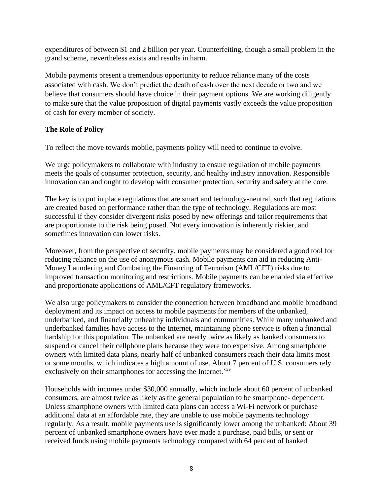expenditures of between \$1 and 2 billion per year. Counterfeiting, though a small problem in the grand scheme, nevertheless exists and results in harm.

Mobile payments present a tremendous opportunity to reduce reliance many of the costs associated with cash. We don't predict the death of cash over the next decade or two and we believe that consumers should have choice in their payment options. We are working diligently to make sure that the value proposition of digital payments vastly exceeds the value proposition of cash for every member of society.

# **The Role of Policy**

To reflect the move towards mobile, payments policy will need to continue to evolve.

We urge policymakers to collaborate with industry to ensure regulation of mobile payments meets the goals of consumer protection, security, and healthy industry innovation. Responsible innovation can and ought to develop with consumer protection, security and safety at the core.

The key is to put in place regulations that are smart and technology-neutral, such that regulations are created based on performance rather than the type of technology. Regulations are most successful if they consider divergent risks posed by new offerings and tailor requirements that are proportionate to the risk being posed. Not every innovation is inherently riskier, and sometimes innovation can lower risks.

Moreover, from the perspective of security, mobile payments may be considered a good tool for reducing reliance on the use of anonymous cash. Mobile payments can aid in reducing Anti-Money Laundering and Combating the Financing of Terrorism (AML/CFT) risks due to improved transaction monitoring and restrictions. Mobile payments can be enabled via effective and proportionate applications of AML/CFT regulatory frameworks.

We also urge policymakers to consider the connection between broadband and mobile broadband deployment and its impact on access to mobile payments for members of the unbanked, underbanked, and financially unhealthy individuals and communities. While many unbanked and underbanked families have access to the Internet, maintaining phone service is often a financial hardship for this population. The unbanked are nearly twice as likely as banked consumers to suspend or cancel their cellphone plans because they were too expensive. Among smartphone owners with limited data plans, nearly half of unbanked consumers reach their data limits most or some months, which indicates a high amount of use. About 7 percent of U.S. consumers rely exclusively on their smartphones for accessing the Internet.<sup>xxv</sup>

Households with incomes under \$30,000 annually, which include about 60 percent of unbanked consumers, are almost twice as likely as the general population to be smartphone- dependent. Unless smartphone owners with limited data plans can access a Wi-Fi network or purchase additional data at an affordable rate, they are unable to use mobile payments technology regularly. As a result, mobile payments use is significantly lower among the unbanked: About 39 percent of unbanked smartphone owners have ever made a purchase, paid bills, or sent or received funds using mobile payments technology compared with 64 percent of banked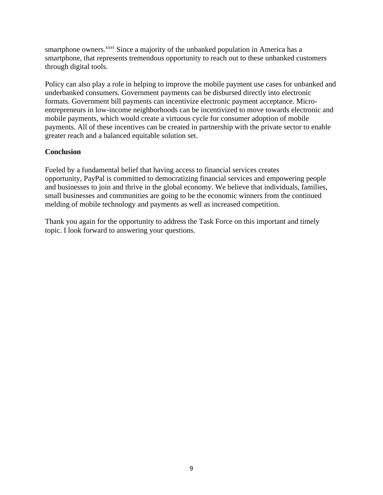smartphone owners.<sup>xxvi</sup> Since a majority of the unbanked population in America has a smartphone, that represents tremendous opportunity to reach out to these unbanked customers through digital tools.

Policy can also play a role in helping to improve the mobile payment use cases for unbanked and underbanked consumers. Government payments can be disbursed directly into electronic formats. Government bill payments can incentivize electronic payment acceptance. Microentrepreneurs in low-income neighborhoods can be incentivized to move towards electronic and mobile payments, which would create a virtuous cycle for consumer adoption of mobile payments. All of these incentives can be created in partnership with the private sector to enable greater reach and a balanced equitable solution set.

### **Conclusion**

Fueled by a fundamental belief that having access to financial services creates opportunity, PayPal is committed to democratizing financial services and empowering people and businesses to join and thrive in the global economy. We believe that individuals, families, small businesses and communities are going to be the economic winners from the continued melding of mobile technology and payments as well as increased competition.

Thank you again for the opportunity to address the Task Force on this important and timely topic. I look forward to answering your questions.